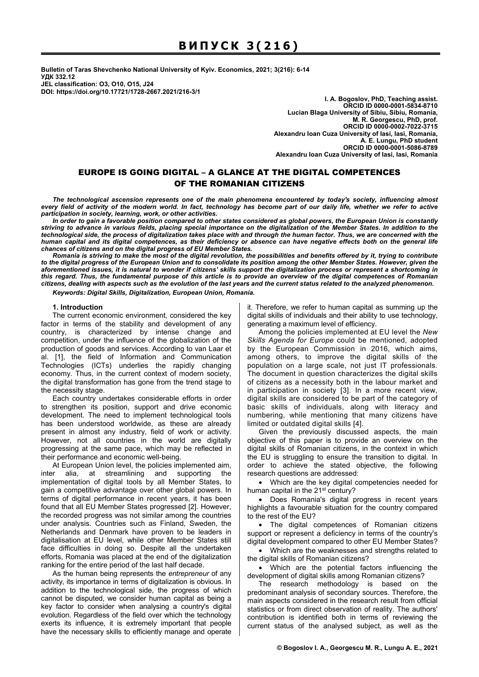**Bulletin of Taras Shevchenko National University of Kyiv. Economics, 2021; 3(216): 6-14 УДК 332.12 JEL classification: O3, O10, O15, J24** 

**DOI: https://doi.org/10.17721/1728-2667.2021/216-3/1** 

**I. A. Bogoslov, PhD, Teaching аssist. ORCID ID 0000-0001-5834-8710 Lucian Blaga University of Sibiu, Sibiu, Romania, M. R. Georgescu, PhD, рrof. ORCID ID 0000-0002-7022-3715 Alexandru Ioan Cuza University of Iasi, Iasi, Romania, A. E. Lungu, PhD student ORCID ID 0000-0001-5086-8789 Alexandru Ioan Cuza University of Iasi, Iasi, Romania** 

# EUROPE IS GOING DIGITAL – A GLANCE AT THE DIGITAL COMPETENCES OF THE ROMANIAN CITIZENS

*The technological ascension represents one of the main phenomena encountered by today's society, influencing almost every field of activity of the modern world. In fact, technology has become part of our daily life, whether we refer to active participation in society, learning, work, or other activities.* 

*In order to gain a favorable position compared to other states considered as global powers, the European Union is constantly striving to advance in various fields, placing special importance on the digitalization of the Member States. In addition to the technological side, the process of digitalization takes place with and through the human factor. Thus, we are concerned with the human capital and its digital competences, as their deficiency or absence can have negative effects both on the general life chances of citizens and on the digital progress of EU Member States.* 

*Romania is striving to make the most of the digital revolution, the possibilities and benefits offered by it, trying to contribute to the digital progress of the European Union and to consolidate its position among the other Member States. However, given the aforementioned issues, it is natural to wonder if citizens' skills support the digitalization process or represent a shortcoming in this regard. Thus, the fundamental purpose of this article is to provide an overview of the digital competences of Romanian citizens, dealing with aspects such as the evolution of the last years and the current status related to the analyzed phenomenon.* 

*Keywords: Digital Skills, Digitalization, European Union, Romania.* 

### **1. Introduction**

The current economic environment, considered the key factor in terms of the stability and development of any country, is characterized by intense change and competition, under the influence of the globalization of the production of goods and services. According to van Laar et al. [1], the field of Information and Communication Technologies (ICTs) underlies the rapidly changing economy. Thus, in the current context of modern society, the digital transformation has gone from the trend stage to the necessity stage.

Each country undertakes considerable efforts in order to strengthen its position, support and drive economic development. The need to implement technological tools has been understood worldwide, as these are already present in almost any industry, field of work or activity. However, not all countries in the world are digitally progressing at the same pace, which may be reflected in their performance and economic well-being.

At European Union level, the policies implemented aim, inter alia, at streamlining and supporting the implementation of digital tools by all Member States, to gain a competitive advantage over other global powers. In terms of digital performance in recent years, it has been found that all EU Member States progressed [2]. However, the recorded progress was not similar among the countries under analysis. Countries such as Finland, Sweden, the Netherlands and Denmark have proven to be leaders in digitalisation at EU level, while other Member States still face difficulties in doing so. Despite all the undertaken efforts, Romania was placed at the end of the digitalization ranking for the entire period of the last half decade.

As the human being represents the *entrepreneur* of any activity, its importance in terms of digitalization is obvious. In addition to the technological side, the progress of which cannot be disputed, we consider human capital as being a key factor to consider when analysing a country's digital evolution. Regardless of the field over which the technology exerts its influence, it is extremely important that people have the necessary skills to efficiently manage and operate

it. Therefore, we refer to human capital as summing up the digital skills of individuals and their ability to use technology, generating a maximum level of efficiency.

Among the policies implemented at EU level the *New Skills Agenda for Europe* could be mentioned, adopted by the European Commission in 2016, which aims, among others, to improve the digital skills of the population on a large scale, not just IT professionals. The document in question characterizes the digital skills of citizens as a necessity both in the labour market and in participation in society [3]. In a more recent view, digital skills are considered to be part of the category of basic skills of individuals, along with literacy and numbering, while mentioning that many citizens have limited or outdated digital skills [4].

Given the previously discussed aspects, the main objective of this paper is to provide an overview on the digital skills of Romanian citizens, in the context in which the EU is struggling to ensure the transition to digital. In order to achieve the stated objective, the following research questions are addressed:

• Which are the key digital competencies needed for human capital in the 21<sup>st</sup> century?

• Does Romania's digital progress in recent years highlights a favourable situation for the country compared to the rest of the EU?

• The digital competences of Romanian citizens support or represent a deficiency in terms of the country's digital development compared to other EU Member States?

• Which are the weaknesses and strengths related to the digital skills of Romanian citizens?

• Which are the potential factors influencing the development of digital skills among Romanian citizens?

The research methodology is based on the predominant analysis of secondary sources. Therefore, the main aspects considered in the research result from official statistics or from direct observation of reality. The authors' contribution is identified both in terms of reviewing the current status of the analysed subject, as well as the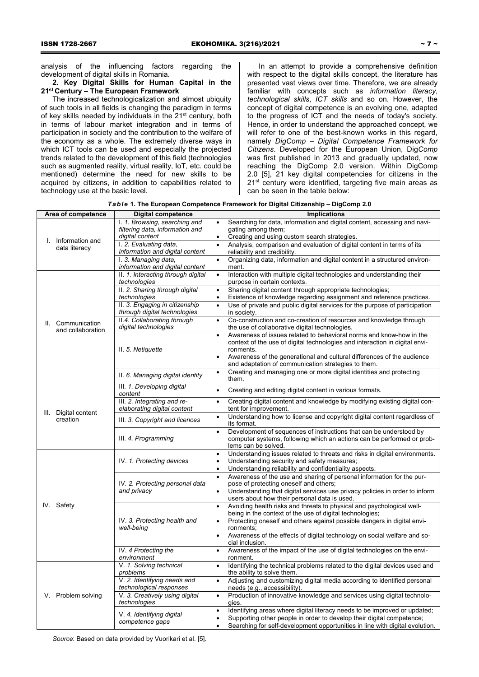analysis of the influencing factors regarding the development of digital skills in Romania.

**2. Key Digital Skills for Human Capital in the 21st Century – The European Framework** 

The increased technologicalization and almost ubiquity of such tools in all fields is changing the paradigm in terms of key skills needed by individuals in the 21<sup>st</sup> century, both in terms of labour market integration and in terms of participation in society and the contribution to the welfare of the economy as a whole. The extremely diverse ways in which ICT tools can be used and especially the projected trends related to the development of this field (technologies such as augmented reality, virtual reality, IoT, etc. could be mentioned) determine the need for new skills to be acquired by citizens, in addition to capabilities related to technology use at the basic level.

In an attempt to provide a comprehensive definition with respect to the digital skills concept, the literature has presented vast views over time. Therefore, we are already familiar with concepts such as *information literacy*, *technological skills*, *ICT skills* and so on. However, the concept of digital competence is an evolving one, adapted to the progress of ICT and the needs of today's society. Hence, in order to understand the approached concept, we will refer to one of the best-known works in this regard, namely *DigComp* – *Digital Competence Framework for Citizens*. Developed for the European Union, Dig*Comp* was first published in 2013 and gradually updated, now reaching the DigComp 2.0 version. Within DigComp 2.0 [5], 21 key digital competencies for citizens in the 21<sup>st</sup> century were identified, targeting five main areas as can be seen in the table below:

| Table 1. The European Competence Framework for Digital Citizenship - DigComp 2.0 |  |  |
|----------------------------------------------------------------------------------|--|--|
|----------------------------------------------------------------------------------|--|--|

| Area of competence                     | <b>Digital competence</b>                                        | <b>Implications</b>                                                                                                                                                              |  |  |
|----------------------------------------|------------------------------------------------------------------|----------------------------------------------------------------------------------------------------------------------------------------------------------------------------------|--|--|
|                                        | I. 1. Browsing, searching and<br>filtering data, information and | Searching for data, information and digital content, accessing and navi-<br>gating among them;                                                                                   |  |  |
| I. Information and<br>data literacy    | digital content<br>I. 2. Evaluating data,                        | Creating and using custom search strategies.<br>$\bullet$<br>Analysis, comparison and evaluation of digital content in terms of its<br>$\bullet$                                 |  |  |
|                                        | information and digital content                                  | reliability and credibility.                                                                                                                                                     |  |  |
|                                        | I. 3. Managing data.<br>information and digital content          | Organizing data, information and digital content in a structured environ-<br>$\bullet$<br>ment.                                                                                  |  |  |
|                                        | II. 1. Interacting through digital<br>technologies               | Interaction with multiple digital technologies and understanding their<br>$\bullet$<br>purpose in certain contexts.                                                              |  |  |
|                                        | II. 2. Sharing through digital                                   | Sharing digital content through appropriate technologies;<br>$\bullet$                                                                                                           |  |  |
|                                        | technologies<br>II. 3. Engaging in citizenship                   | Existence of knowledge regarding assignment and reference practices.<br>$\bullet$<br>Use of private and public digital services for the purpose of participation<br>$\bullet$    |  |  |
|                                        | through digital technologies                                     | in society.                                                                                                                                                                      |  |  |
| II. Communication<br>and collaboration | II.4. Collaborating through<br>digital technologies              | Co-construction and co-creation of resources and knowledge through<br>$\bullet$<br>the use of collaborative digital technologies.                                                |  |  |
|                                        | II. 5. Netiquette                                                | Awareness of issues related to behavioral norms and know-how in the<br>$\bullet$                                                                                                 |  |  |
|                                        |                                                                  | context of the use of digital technologies and interaction in digital envi-<br>ronments.                                                                                         |  |  |
|                                        |                                                                  | Awareness of the generational and cultural differences of the audience<br>$\bullet$<br>and adaptation of communication strategies to them.                                       |  |  |
|                                        | II. 6. Managing digital identity                                 | Creating and managing one or more digital identities and protecting<br>$\bullet$<br>them.                                                                                        |  |  |
| III. Digital content<br>creation       | III. 1. Developing digital<br>content                            | Creating and editing digital content in various formats.                                                                                                                         |  |  |
|                                        | III. 2. Integrating and re-<br>elaborating digital content       | Creating digital content and knowledge by modifying existing digital con-<br>$\bullet$<br>tent for improvement.                                                                  |  |  |
|                                        | III. 3. Copyright and licences                                   | Understanding how to license and copyright digital content regardless of<br>$\bullet$<br>its format.                                                                             |  |  |
|                                        | III. 4. Programming                                              | Development of sequences of instructions that can be understood by<br>$\bullet$<br>computer systems, following which an actions can be performed or prob-<br>lems can be solved. |  |  |
|                                        | IV. 1. Protecting devices                                        | Understanding issues related to threats and risks in digital environments.<br>$\bullet$                                                                                          |  |  |
|                                        |                                                                  | Understanding security and safety measures;<br>$\bullet$<br>Understanding reliability and confidentiality aspects.                                                               |  |  |
|                                        | IV. 2. Protecting personal data<br>and privacy                   | Awareness of the use and sharing of personal information for the pur-<br>$\bullet$<br>pose of protecting oneself and others;                                                     |  |  |
|                                        |                                                                  | Understanding that digital services use privacy policies in order to inform<br>$\bullet$<br>users about how their personal data is used.                                         |  |  |
| IV. Safety                             | IV. 3. Protecting health and<br>well-being                       | Avoiding health risks and threats to physical and psychological well-<br>$\bullet$                                                                                               |  |  |
|                                        |                                                                  | being in the context of the use of digital technologies;<br>$\bullet$                                                                                                            |  |  |
|                                        |                                                                  | Protecting oneself and others against possible dangers in digital envi-<br>ronments;                                                                                             |  |  |
|                                        |                                                                  | Awareness of the effects of digital technology on social welfare and so-<br>$\bullet$<br>cial inclusion.                                                                         |  |  |
|                                        | IV. 4 Protecting the                                             | Awareness of the impact of the use of digital technologies on the envi-<br>$\bullet$                                                                                             |  |  |
| V. Problem solving                     | environment<br>V. 1. Solving technical                           | ronment.<br>Identifying the technical problems related to the digital devices used and<br>$\bullet$                                                                              |  |  |
|                                        | problems                                                         | the ability to solve them.                                                                                                                                                       |  |  |
|                                        | V. 2. Identifying needs and<br>technological responses           | Adjusting and customizing digital media according to identified personal<br>$\bullet$<br>needs (e.g., accessibility).                                                            |  |  |
|                                        | V. 3. Creatively using digital<br>technologies                   | Production of innovative knowledge and services using digital technolo-<br>$\bullet$<br>gies.                                                                                    |  |  |
|                                        | V. 4. Identifying digital<br>competence gaps                     | Identifying areas where digital literacy needs to be improved or updated;<br>$\bullet$                                                                                           |  |  |
|                                        |                                                                  | Supporting other people in order to develop their digital competence;<br>$\bullet$<br>Searching for self-development opportunities in line with digital evolution.<br>$\bullet$  |  |  |
|                                        |                                                                  |                                                                                                                                                                                  |  |  |

*Source*: Based on data provided by Vuorikari et al. [5].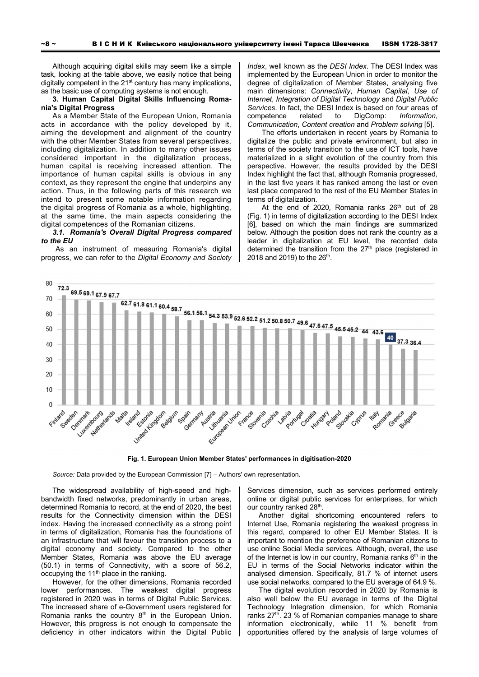Although acquiring digital skills may seem like a simple task, looking at the table above, we easily notice that being digitally competent in the 21<sup>st</sup> century has many implications, as the basic use of computing systems is not enough.

**3. Human Capital Digital Skills Influencing Romania's Digital Progress** 

As a Member State of the European Union, Romania acts in accordance with the policy developed by it, aiming the development and alignment of the country with the other Member States from several perspectives, including digitalization. In addition to many other issues considered important in the digitalization process, human capital is receiving increased attention. The importance of human capital skills is obvious in any context, as they represent the engine that underpins any action. Thus, in the following parts of this research we intend to present some notable information regarding the digital progress of Romania as a whole, highlighting, at the same time, the main aspects considering the digital competences of the Romanian citizens.

*3.1. Romania's Overall Digital Progress compared to the EU* 

As an instrument of measuring Romania's digital progress, we can refer to the *Digital Economy and Society*  *Index*, well known as the *DESI Index*. The DESI Index was implemented by the European Union in order to monitor the degree of digitalization of Member States, analysing five main dimensions: *Connectivity*, *Human Capital*, *Use of Internet*, *Integration of Digital Technology* and *Digital Public Services*. In fact, the DESI Index is based on four areas of competence related to DigComp: *Information*, *Communication*, *Content creation* and *Problem solving* [5].

The efforts undertaken in recent years by Romania to digitalize the public and private environment, but also in terms of the society transition to the use of ICT tools, have materialized in a slight evolution of the country from this perspective. However, the results provided by the DESI Index highlight the fact that, although Romania progressed, in the last five years it has ranked among the last or even last place compared to the rest of the EU Member States in terms of digitalization.

At the end of 2020, Romania ranks  $26<sup>th</sup>$  out of 28 (Fig. 1) in terms of digitalization according to the DESI Index [6], based on which the main findings are summarized below. Although the position does not rank the country as a leader in digitalization at EU level, the recorded data determined the transition from the 27<sup>th</sup> place (registered in 2018 and 2019) to the  $26<sup>th</sup>$ .



**Fig. 1. European Union Member States' performances in digitisation-2020** 

*Source:* Data provided by the European Commission [7] – Authors' own representation.

The widespread availability of high-speed and highbandwidth fixed networks, predominantly in urban areas, determined Romania to record, at the end of 2020, the best results for the Connectivity dimension within the DESI index. Having the increased connectivity as a strong point in terms of digitalization, Romania has the foundations of an infrastructure that will favour the transition process to a digital economy and society. Compared to the other Member States, Romania was above the EU average (50.1) in terms of Connectivity, with a score of 56.2, occupying the 11<sup>th</sup> place in the ranking.

However, for the other dimensions, Romania recorded lower performances. The weakest digital progress registered in 2020 was in terms of Digital Public Services. The increased share of e-Government users registered for Romania ranks the country  $8<sup>th</sup>$  in the European Union. However, this progress is not enough to compensate the deficiency in other indicators within the Digital Public

Services dimension, such as services performed entirely online or digital public services for enterprises, for which our country ranked 28<sup>th</sup>.

Another digital shortcoming encountered refers to Internet Use, Romania registering the weakest progress in this regard, compared to other EU Member States. It is important to mention the preference of Romanian citizens to use online Social Media services. Although, overall, the use of the Internet is low in our country, Romania ranks  $6<sup>th</sup>$  in the EU in terms of the Social Networks indicator within the analysed dimension. Specifically, 81.7 % of internet users use social networks, compared to the EU average of 64.9 %.

The digital evolution recorded in 2020 by Romania is also well below the EU average in terms of the Digital Technology Integration dimension, for which Romania ranks 27<sup>th</sup>. 23 % of Romanian companies manage to share information electronically, while 11 % benefit from opportunities offered by the analysis of large volumes of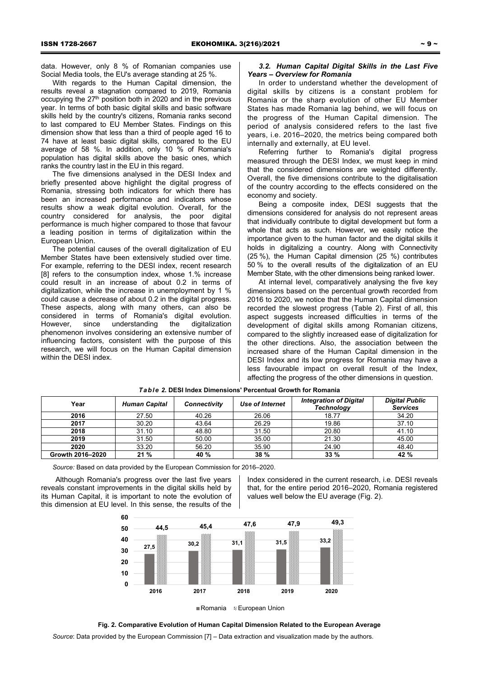data. However, only 8 % of Romanian companies use Social Media tools, the EU's average standing at 25 %.

With regards to the Human Capital dimension, the results reveal a stagnation compared to 2019, Romania occupying the  $27<sup>th</sup>$  position both in 2020 and in the previous year. In terms of both basic digital skills and basic software skills held by the country's citizens, Romania ranks second to last compared to EU Member States. Findings on this dimension show that less than a third of people aged 16 to 74 have at least basic digital skills, compared to the EU average of 58 %. In addition, only 10 % of Romania's population has digital skills above the basic ones, which ranks the country last in the EU in this regard.

The five dimensions analysed in the DESI Index and briefly presented above highlight the digital progress of Romania, stressing both indicators for which there has been an increased performance and indicators whose results show a weak digital evolution. Overall, for the country considered for analysis, the poor digital performance is much higher compared to those that favour a leading position in terms of digitalization within the European Union.

The potential causes of the overall digitalization of EU Member States have been extensively studied over time. For example, referring to the DESI index, recent research [8] refers to the consumption index, whose 1.% increase could result in an increase of about 0.2 in terms of digitalization, while the increase in unemployment by 1 % could cause a decrease of about 0.2 in the digital progress. These aspects, along with many others, can also be considered in terms of Romania's digital evolution. However, since understanding the digitalization phenomenon involves considering an extensive number of influencing factors, consistent with the purpose of this research, we will focus on the Human Capital dimension within the DESI index.

# *3.2. Human Capital Digital Skills in the Last Five Years – Overview for Romania*

In order to understand whether the development of digital skills by citizens is a constant problem for Romania or the sharp evolution of other EU Member States has made Romania lag behind, we will focus on the progress of the Human Capital dimension. The period of analysis considered refers to the last five years, i.e. 2016–2020, the metrics being compared both internally and externally, at EU level.

Referring further to Romania's digital progress measured through the DESI Index, we must keep in mind that the considered dimensions are weighted differently. Overall, the five dimensions contribute to the digitalisation of the country according to the effects considered on the economy and society.

Being a composite index, DESI suggests that the dimensions considered for analysis do not represent areas that individually contribute to digital development but form a whole that acts as such. However, we easily notice the importance given to the human factor and the digital skills it holds in digitalizing a country. Along with Connectivity (25 %), the Human Capital dimension (25 %) contributes 50 % to the overall results of the digitalization of an EU Member State, with the other dimensions being ranked lower.

At internal level, comparatively analysing the five key dimensions based on the percentual growth recorded from 2016 to 2020, we notice that the Human Capital dimension recorded the slowest progress (Table 2). First of all, this aspect suggests increased difficulties in terms of the development of digital skills among Romanian citizens, compared to the slightly increased ease of digitalization for the other directions. Also, the association between the increased share of the Human Capital dimension in the DESI Index and its low progress for Romania may have a less favourable impact on overall result of the Index, affecting the progress of the other dimensions in question.

| Year             | <b>Human Capital</b> | <b>Connectivity</b> | Use of Internet | <b>Integration of Digital</b><br><b>Technology</b> | <b>Digital Public</b><br><b>Services</b> |
|------------------|----------------------|---------------------|-----------------|----------------------------------------------------|------------------------------------------|
| 2016             | 27.50                | 40.26               | 26.06           | 18.77                                              | 34.20                                    |
| 2017             | 30.20                | 43.64               | 26.29           | 19.86                                              | 37.10                                    |
| 2018             | 31.10                | 48.80               | 31.50           | 20.80                                              | 41.10                                    |
| 2019             | 31.50                | 50.00               | 35.00           | 21.30                                              | 45.00                                    |
| 2020             | 33.20                | 56.20               | 35.90           | 24.90                                              | 48.40                                    |
| Growth 2016-2020 | 21%                  | 40 %                | 38 %            | 33%                                                | 42 %                                     |

*Table 2.* **DESI Index Dimensions' Percentual Growth for Romania**

*Source:* Based on data provided by the European Commission for 2016–2020.

Although Romania's progress over the last five years reveals constant improvements in the digital skills held by its Human Capital, it is important to note the evolution of this dimension at EU level. In this sense, the results of the

Index considered in the current research, i.e. DESI reveals that, for the entire period 2016–2020, Romania registered values well below the EU average (Fig. 2).



■Romania **European Union** 

#### **Fig. 2. Comparative Evolution of Human Capital Dimension Related to the European Average**

*Source*: Data provided by the European Commission [7] – Data extraction and visualization made by the authors.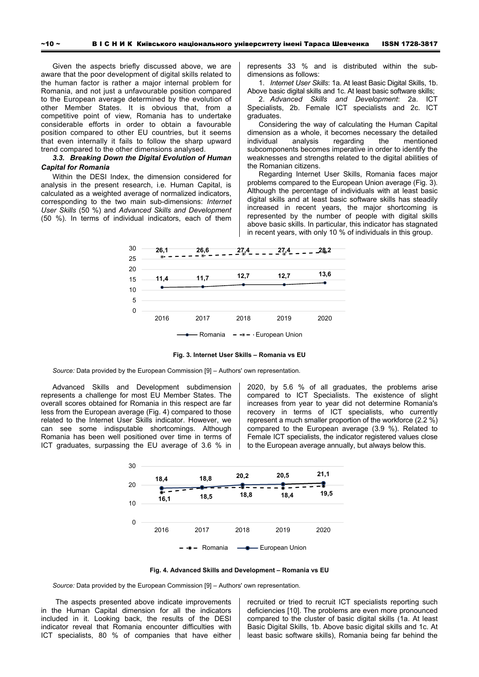Given the aspects briefly discussed above, we are aware that the poor development of digital skills related to the human factor is rather a major internal problem for Romania, and not just a unfavourable position compared to the European average determined by the evolution of other Member States. It is obvious that, from a competitive point of view, Romania has to undertake considerable efforts in order to obtain a favourable position compared to other EU countries, but it seems that even internally it fails to follow the sharp upward trend compared to the other dimensions analysed.

# *3.3. Breaking Down the Digital Evolution of Human Capital for Romania*

Within the DESI Index, the dimension considered for analysis in the present research, i.e. Human Capital, is calculated as a weighted average of normalized indicators, corresponding to the two main sub-dimensions: *Internet User Skills* (50 %) and *Advanced Skills and Development* (50 %). In terms of individual indicators, each of them

represents 33 % and is distributed within the subdimensions as follows:

1. *Internet User Skills*: 1a. At least Basic Digital Skills, 1b. Above basic digital skills and 1c. At least basic software skills;

2. *Advanced Skills and Development*: 2a. ICT Specialists, 2b. Female ICT specialists and 2c. ICT graduates.

Considering the way of calculating the Human Capital dimension as a whole, it becomes necessary the detailed individual analysis regarding the mentioned subcomponents becomes imperative in order to identify the weaknesses and strengths related to the digital abilities of the Romanian citizens.

Regarding Internet User Skills, Romania faces major problems compared to the European Union average (Fig. 3). Although the percentage of individuals with at least basic digital skills and at least basic software skills has steadily increased in recent years, the major shortcoming is represented by the number of people with digital skills above basic skills. In particular, this indicator has stagnated in recent years, with only 10 % of individuals in this group.



**Fig. 3. Internet User Skills – Romania vs EU** 

*Source:* Data provided by the European Commission [9] – Authors' own representation.

Advanced Skills and Development subdimension represents a challenge for most EU Member States. The overall scores obtained for Romania in this respect are far less from the European average (Fig. 4) compared to those related to the Internet User Skills indicator. However, we can see some indisputable shortcomings. Although Romania has been well positioned over time in terms of ICT graduates, surpassing the EU average of 3.6 % in 2020, by 5.6 % of all graduates, the problems arise compared to ICT Specialists. The existence of slight increases from year to year did not determine Romania's recovery in terms of ICT specialists, who currently represent a much smaller proportion of the workforce (2.2 %) compared to the European average (3.9 %). Related to Female ICT specialists, the indicator registered values close to the European average annually, but always below this.



**Fig. 4. Advanced Skills and Development – Romania vs EU** 

*Source:* Data provided by the European Commission [9] – Authors' own representation.

The aspects presented above indicate improvements in the Human Capital dimension for all the indicators included in it. Looking back, the results of the DESI indicator reveal that Romania encounter difficulties with ICT specialists, 80 % of companies that have either

recruited or tried to recruit ICT specialists reporting such deficiencies [10]. The problems are even more pronounced compared to the cluster of basic digital skills (1a. At least Basic Digital Skills, 1b. Above basic digital skills and 1c. At least basic software skills), Romania being far behind the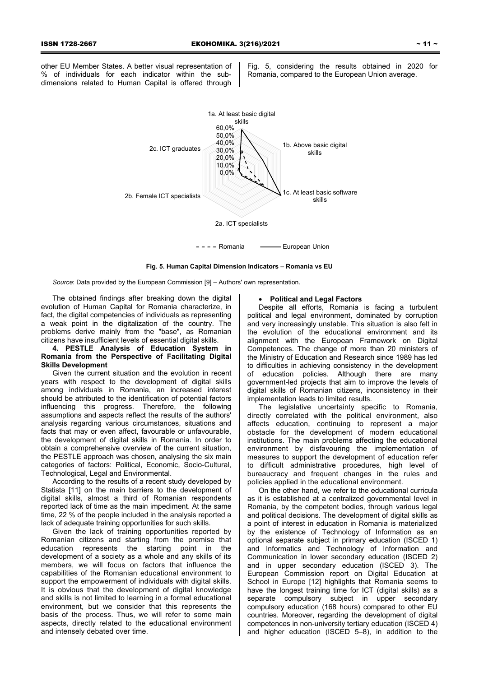other EU Member States. A better visual representation of % of individuals for each indicator within the subdimensions related to Human Capital is offered through

Fig. 5, considering the results obtained in 2020 for Romania, compared to the European Union average.



**Fig. 5. Human Capital Dimension Indicators – Romania vs EU** 

*Source*: Data provided by the European Commission [9] – Authors' own representation.

The obtained findings after breaking down the digital evolution of Human Capital for Romania characterize, in fact, the digital competencies of individuals as representing a weak point in the digitalization of the country. The problems derive mainly from the "base", as Romanian citizens have insufficient levels of essential digital skills.

# **4. PESTLE Analysis of Education System in Romania from the Perspective of Facilitating Digital Skills Development**

Given the current situation and the evolution in recent years with respect to the development of digital skills among individuals in Romania, an increased interest should be attributed to the identification of potential factors influencing this progress. Therefore, the following assumptions and aspects reflect the results of the authors' analysis regarding various circumstances, situations and facts that may or even affect, favourable or unfavourable, the development of digital skills in Romania. In order to obtain a comprehensive overview of the current situation, the PESTLE approach was chosen, analysing the six main categories of factors: Political, Economic, Socio-Cultural, Technological, Legal and Environmental.

According to the results of a recent study developed by Statista [11] on the main barriers to the development of digital skills, almost a third of Romanian respondents reported lack of time as the main impediment. At the same time, 22 % of the people included in the analysis reported a lack of adequate training opportunities for such skills.

Given the lack of training opportunities reported by Romanian citizens and starting from the premise that education represents the starting point in the development of a society as a whole and any skills of its members, we will focus on factors that influence the capabilities of the Romanian educational environment to support the empowerment of individuals with digital skills. It is obvious that the development of digital knowledge and skills is not limited to learning in a formal educational environment, but we consider that this represents the basis of the process. Thus, we will refer to some main aspects, directly related to the educational environment and intensely debated over time.

# • **Political and Legal Factors**

Despite all efforts, Romania is facing a turbulent political and legal environment, dominated by corruption and very increasingly unstable. This situation is also felt in the evolution of the educational environment and its alignment with the European Framework on Digital Competences. The change of more than 20 ministers of the Ministry of Education and Research since 1989 has led to difficulties in achieving consistency in the development of education policies. Although there are many government-led projects that aim to improve the levels of digital skills of Romanian citizens, inconsistency in their implementation leads to limited results.

The legislative uncertainty specific to Romania, directly correlated with the political environment, also affects education, continuing to represent a major obstacle for the development of modern educational institutions. The main problems affecting the educational environment by disfavouring the implementation of measures to support the development of education refer to difficult administrative procedures, high level of bureaucracy and frequent changes in the rules and policies applied in the educational environment.

On the other hand, we refer to the educational curricula as it is established at a centralized governmental level in Romania, by the competent bodies, through various legal and political decisions. The development of digital skills as a point of interest in education in Romania is materialized by the existence of Technology of Information as an optional separate subject in primary education (ISCED 1) and Informatics and Technology of Information and Communication in lower secondary education (ISCED 2) and in upper secondary education (ISCED 3). The European Commission report on Digital Education at School in Europe [12] highlights that Romania seems to have the longest training time for ICT (digital skills) as a separate compulsory subject in upper secondary compulsory education (168 hours) compared to other EU countries. Moreover, regarding the development of digital competences in non-university tertiary education (ISCED 4) and higher education (ISCED 5–8), in addition to the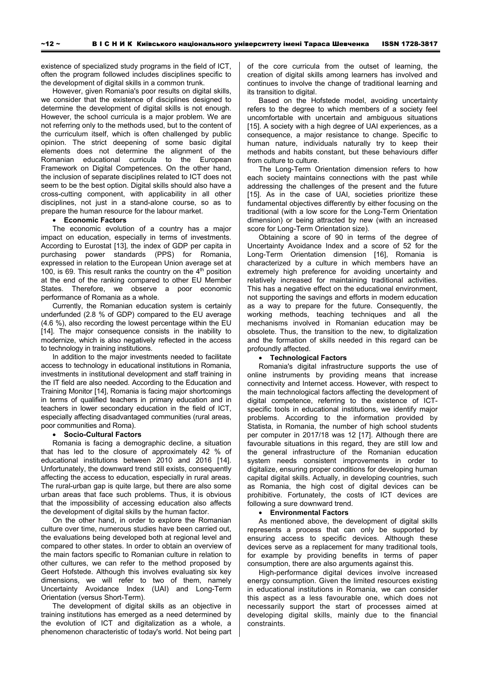existence of specialized study programs in the field of ICT, often the program followed includes disciplines specific to the development of digital skills in a common trunk.

However, given Romania's poor results on digital skills, we consider that the existence of disciplines designed to determine the development of digital skills is not enough. However, the school curricula is a major problem. We are not referring only to the methods used, but to the content of the curriculum itself, which is often challenged by public opinion. The strict deepening of some basic digital elements does not determine the alignment of the Romanian educational curricula to the European Framework on Digital Competences. On the other hand, the inclusion of separate disciplines related to ICT does not seem to be the best option. Digital skills should also have a cross-cutting component, with applicability in all other disciplines, not just in a stand-alone course, so as to prepare the human resource for the labour market.

## • **Economic Factors**

The economic evolution of a country has a major impact on education, especially in terms of investments. According to Eurostat [13], the index of GDP per capita in purchasing power standards (PPS) for Romania, expressed in relation to the European Union average set at 100, is 69. This result ranks the country on the  $4<sup>th</sup>$  position at the end of the ranking compared to other EU Member States. Therefore, we observe a poor economic performance of Romania as a whole.

Currently, the Romanian education system is certainly underfunded (2.8 % of GDP) compared to the EU average (4.6 %), also recording the lowest percentage within the EU [14]. The major consequence consists in the inability to modernize, which is also negatively reflected in the access to technology in training institutions.

In addition to the major investments needed to facilitate access to technology in educational institutions in Romania, investments in institutional development and staff training in the IT field are also needed. According to the Education and Training Monitor [14], Romania is facing major shortcomings in terms of qualified teachers in primary education and in teachers in lower secondary education in the field of ICT, especially affecting disadvantaged communities (rural areas, poor communities and Roma).

### • **Socio-Cultural Factors**

Romania is facing a demographic decline, a situation that has led to the closure of approximately 42 % of educational institutions between 2010 and 2016 [14]. Unfortunately, the downward trend still exists, consequently affecting the access to education, especially in rural areas. The rural-urban gap is quite large, but there are also some urban areas that face such problems. Thus, it is obvious that the impossibility of accessing education also affects the development of digital skills by the human factor.

On the other hand, in order to explore the Romanian culture over time, numerous studies have been carried out, the evaluations being developed both at regional level and compared to other states. In order to obtain an overview of the main factors specific to Romanian culture in relation to other cultures, we can refer to the method proposed by Geert Hofstede. Although this involves evaluating six key dimensions, we will refer to two of them, namely Uncertainty Avoidance Index (UAI) and Long-Term Orientation (versus Short-Term).

The development of digital skills as an objective in training institutions has emerged as a need determined by the evolution of ICT and digitalization as a whole, a phenomenon characteristic of today's world. Not being part of the core curricula from the outset of learning, the creation of digital skills among learners has involved and continues to involve the change of traditional learning and its transition to digital.

Based on the Hofstede model, avoiding uncertainty refers to the degree to which members of a society feel uncomfortable with uncertain and ambiguous situations [15]. A society with a high degree of UAI experiences, as a consequence, a major resistance to change. Specific to human nature, individuals naturally try to keep their methods and habits constant, but these behaviours differ from culture to culture.

The Long-Term Orientation dimension refers to how each society maintains connections with the past while addressing the challenges of the present and the future [15]. As in the case of UAI, societies prioritize these fundamental objectives differently by either focusing on the traditional (with a low score for the Long-Term Orientation dimension) or being attracted by new (with an increased score for Long-Term Orientation size).

Obtaining a score of 90 in terms of the degree of Uncertainty Avoidance Index and a score of 52 for the Long-Term Orientation dimension [16], Romania is characterized by a culture in which members have an extremely high preference for avoiding uncertainty and relatively increased for maintaining traditional activities. This has a negative effect on the educational environment, not supporting the savings and efforts in modern education as a way to prepare for the future. Consequently, the working methods, teaching techniques and all the mechanisms involved in Romanian education may be obsolete. Thus, the transition to the new, to digitalization and the formation of skills needed in this regard can be profoundly affected.

### • **Technological Factors**

Romania's digital infrastructure supports the use of online instruments by providing means that increase connectivity and Internet access. However, with respect to the main technological factors affecting the development of digital competence, referring to the existence of ICTspecific tools in educational institutions, we identify major problems. According to the information provided by Statista, in Romania, the number of high school students per computer in 2017/18 was 12 [17]. Although there are favourable situations in this regard, they are still low and the general infrastructure of the Romanian education system needs consistent improvements in order to digitalize, ensuring proper conditions for developing human capital digital skills. Actually, in developing countries, such as Romania, the high cost of digital devices can be prohibitive. Fortunately, the costs of ICT devices are following a sure downward trend.

#### • **Environmental Factors**

As mentioned above, the development of digital skills represents a process that can only be supported by ensuring access to specific devices. Although these devices serve as a replacement for many traditional tools, for example by providing benefits in terms of paper consumption, there are also arguments against this.

High-performance digital devices involve increased energy consumption. Given the limited resources existing in educational institutions in Romania, we can consider this aspect as a less favourable one, which does not necessarily support the start of processes aimed at developing digital skills, mainly due to the financial constraints.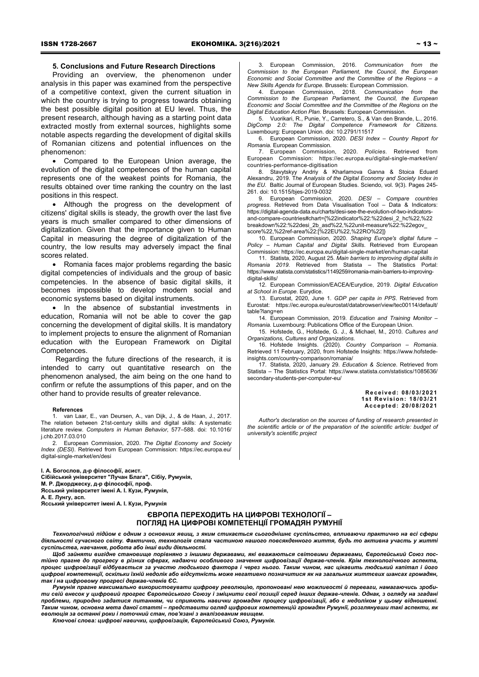# **5. Conclusions and Future Research Directions**

Providing an overview, the phenomenon under analysis in this paper was examined from the perspective of a competitive context, given the current situation in which the country is trying to progress towards obtaining the best possible digital position at EU level. Thus, the present research, although having as a starting point data extracted mostly from external sources, highlights some notable aspects regarding the development of digital skills of Romanian citizens and potential influences on the phenomenon:

• Compared to the European Union average, the evolution of the digital competences of the human capital represents one of the weakest points for Romania, the results obtained over time ranking the country on the last positions in this respect.

• Although the progress on the development of citizens' digital skills is steady, the growth over the last five years is much smaller compared to other dimensions of digitalization. Given that the importance given to Human Capital in measuring the degree of digitalization of the country, the low results may adversely impact the final scores related.

• Romania faces major problems regarding the basic digital competencies of individuals and the group of basic competencies. In the absence of basic digital skills, it becomes impossible to develop modern social and economic systems based on digital instruments.

• In the absence of substantial investments in education, Romania will not be able to cover the gap concerning the development of digital skills. It is mandatory to implement projects to ensure the alignment of Romanian education with the European Framework on Digital Competences.

Regarding the future directions of the research, it is intended to carry out quantitative research on the phenomenon analysed, the aim being on the one hand to confirm or refute the assumptions of this paper, and on the other hand to provide results of greater relevance.

#### **References**

1. van Laar, E., van Deursen, A., van Dijk, J., & de Haan, J., 2017. The relation between 21st-century skills and digital skills: A systematic literature review. *Computers in Human Behavior*, 577–588. doi: 10.1016/ j.chb.2017.03.010

2. European Commission, 2020. *The Digital Economy and Society Index (DESI)*. Retrieved from European Commission: https://ec.europa.eu/ digital-single-market/en/desi

**І. А. Богослов, д-р філософії, асист. Сібійський університет "Лучан Блага", Сібіу, Румунія, M. Р. Джорджеску, д-р філософії, проф. Ясський університет імені А. І. Кузи, Румунія, А. Е. Лунгу, асп.** 

**Ясський університет імені А. І. Кузи, Румунія**

3. European Commission, 2016. *Communication from the Commission to the European Parliament, the Council, the European Economic and Social Committee and the Committee of the Regions – a New Skills Agenda for Europe.* Brussels: European Commission.

4. European Commission, 2018. *Communication from the Commission to the European Parliament, the Council, the European Economic and Social Committee and the Committee of the Regions on the Digital Education Action Plan.* Brussels: European Commission.

5. Vuorikari, R., Punie, Y., Carretero, S., & Van den Brande, L., 2016. *DigComp 2.0: The Digital Competence Framework for Citizens.* Luxembourg: European Union. doi: 10.2791/11517

6. European Commission, 2020. *DESI Index – Country Report for Romania.* European Commission.

7. European Commission, 2020. *Policies*. Retrieved from European Commission: https://ec.europa.eu/digital-single-market/en/ countries-performance-digitisation

8. Stavytskyy Andriy & Kharlamova Ganna & Stoica Eduard Alexandru, 2019. T*he Analysis of the Digital Economy and Society Index in the EU*. Baltic Journal of European Studies. Sciendo, vol. 9(3). Pages 245- 261. doi: 10.1515/bjes-2019-0032

9. European Commission, 2020. *DESI – Compare countries progress*. Retrieved from Data Visualisation Tool – Data & Indicators: https://digital-agenda-data.eu/charts/desi-see-the-evolution-of-two-indicatorsand-compare-countries#chart={%22indicator%22:%22desi\_2\_hc%22,%22 breakdown%22:%22desi\_2b\_asd%22,%22unit-measure%22:%22egov\_ score%22,%22ref-area%22:[%22EU%22,%22RO%22]}

10. European Commission, 2020. *Shaping Europe's digital future – Policy – Human Capital and Digital Skills*. Retrieved from European Commission: https://ec.europa.eu/digital-single-market/en/human-capital

11. Statista, 2020, August 25. *Main barriers to improving digital skills in Romania 2019*. Retrieved from Statista – The Statistics Portal: https://www.statista.com/statistics/1149259/romania-main-barriers-to-improvingdigital-skills/

12. European Commission/EACEA/Eurydice, 2019. *Digital Education at School in Europe.* Eurydice.

13. Eurostat, 2020, June 1. *GDP per capita in PPS*. Retrieved from Eurostat: https://ec.europa.eu/eurostat/databrowser/view/tec00114/default/ table?lang=en

14. European Commission, 2019. *Education and Training Monitor – Romania.* Luxembourg: Publications Office of the European Union.

15. Hofstede, G., Hofstede, G. J., & Michael, M., 2010. *Cultures and Organizations, Cultures and Organizations.*

16. Hofstede Insights. (2020). *Country Comparison – Romania*. Retrieved 11 February, 2020, from Hofstede Insights: https://www.hofstedeinsights.com/country-comparison/romania/

17. Statista, 2020, January 29. *Education & Science*. Retrieved from Statista – The Statistics Portal: https://www.statista.com/statistics/1085636/ secondary-students-per-computer-eu/

> **Received: 08/03/2021 1st Revision: 18/03/21 Accepted: 20/08/2021**

*Author's declaration on the sources of funding of research presented in the scientific article or of the preparation of the scientific article: budget of university's scientific project* 

# **ЄВРОПА ПЕРЕХОДИТЬ НА ЦИФРОВІ ТЕХНОЛОГІЇ – ПОГЛЯД НА ЦИФРОВІ КОМПЕТЕНЦІЇ ГРОМАДЯН РУМУНІЇ**

Технологічний підйом є одним з основних явищ, з яким стикається сьогоднішнє суспільство, впливаючи практично на всі сфери діяльності сучасного світу. Фактично, технологія стала частиною нашого повсякденного життя, будь то активна участь у житті *суспільства, навчання, робота або інші види діяльності.* 

Шоб зайняти вигідне становище порівняно з іншими державами, які вважаються світовими державами, Європейський Союз постійно прагне до прогресу в різних сферах, надаючи особливого значення цифровізації держав-членів. Крім технологічного аспекта, процес цифровізації відбувається за участю людського фактора і через нього. Таким чином, нас цікавить людський капітал і його цифрові компетенції, оскільки їхній недолік або відсутність може негативно позначитися як на загальних життєвих шансах громадян, *так і на цифровому прогресі держав-членів ЄС.* 

Румунія прагне максимально використовувати цифрову революцію, пропоновані нею можливості й переваги, намагаючись зробити свій внесок у цифровий прогрес Європейського Союзу і зміцнити свої позиції серед інших держав-членів. Однак, з огляду на згадані проблеми, природно задатися питанням, чи сприяють навички громадян процесу цифровізації, або є недоліком у цьому відношенні. .<br>Таким чином, основна мета даної статті – представити огляд цифрових компетенцій громадян Румунії, розглянувши такі аспекти, як *еволюція за останні роки і поточний стан, пов'язані з аналізованим явищем.* 

*Ключові слова: цифрові навички, цифровізація, Європейський Союз, Румунія.*